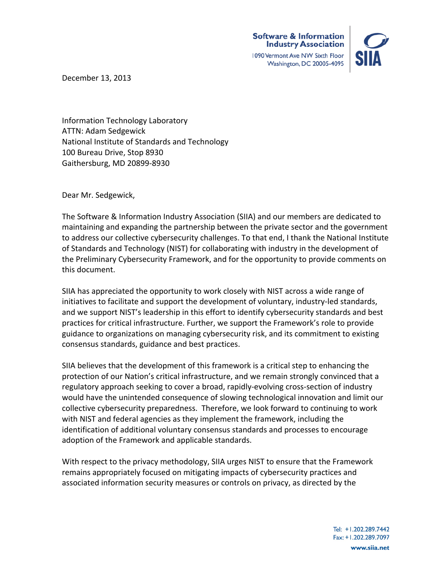

December 13, 2013

Information Technology Laboratory ATTN: Adam Sedgewick National Institute of Standards and Technology 100 Bureau Drive, Stop 8930 Gaithersburg, MD 20899-8930

Dear Mr. Sedgewick, 

The Software & Information Industry Association (SIIA) and our members are dedicated to maintaining and expanding the partnership between the private sector and the government to address our collective cybersecurity challenges. To that end, I thank the National Institute of Standards and Technology (NIST) for collaborating with industry in the development of the Preliminary Cybersecurity Framework, and for the opportunity to provide comments on this document.

SIIA has appreciated the opportunity to work closely with NIST across a wide range of initiatives to facilitate and support the development of voluntary, industry-led standards, and we support NIST's leadership in this effort to identify cybersecurity standards and best practices for critical infrastructure. Further, we support the Framework's role to provide guidance to organizations on managing cybersecurity risk, and its commitment to existing consensus standards, guidance and best practices.

SIIA believes that the development of this framework is a critical step to enhancing the protection of our Nation's critical infrastructure, and we remain strongly convinced that a regulatory approach seeking to cover a broad, rapidly-evolving cross-section of industry would have the unintended consequence of slowing technological innovation and limit our collective cybersecurity preparedness. Therefore, we look forward to continuing to work with NIST and federal agencies as they implement the framework, including the identification of additional voluntary consensus standards and processes to encourage adoption of the Framework and applicable standards.

With respect to the privacy methodology, SIIA urges NIST to ensure that the Framework remains appropriately focused on mitigating impacts of cybersecurity practices and associated information security measures or controls on privacy, as directed by the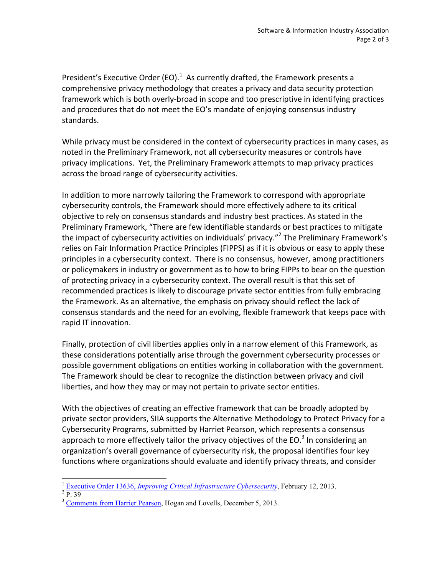President's Executive Order (EO). $1$  As currently drafted, the Framework presents a comprehensive privacy methodology that creates a privacy and data security protection framework which is both overly-broad in scope and too prescriptive in identifying practices and procedures that do not meet the EO's mandate of enjoying consensus industry standards.

While privacy must be considered in the context of cybersecurity practices in many cases, as noted in the Preliminary Framework, not all cybersecurity measures or controls have privacy implications. Yet, the Preliminary Framework attempts to map privacy practices across the broad range of cybersecurity activities.

In addition to more narrowly tailoring the Framework to correspond with appropriate cybersecurity controls, the Framework should more effectively adhere to its critical objective to rely on consensus standards and industry best practices. As stated in the Preliminary Framework, "There are few identifiable standards or best practices to mitigate the impact of cybersecurity activities on individuals' privacy."<sup>2</sup> The Preliminary Framework's relies on Fair Information Practice Principles (FIPPS) as if it is obvious or easy to apply these principles in a cybersecurity context. There is no consensus, however, among practitioners or policymakers in industry or government as to how to bring FIPPs to bear on the question of protecting privacy in a cybersecurity context. The overall result is that this set of recommended practices is likely to discourage private sector entities from fully embracing the Framework. As an alternative, the emphasis on privacy should reflect the lack of consensus standards and the need for an evolving, flexible framework that keeps pace with rapid IT innovation.

Finally, protection of civil liberties applies only in a narrow element of this Framework, as these considerations potentially arise through the government cybersecurity processes or possible government obligations on entities working in collaboration with the government. The Framework should be clear to recognize the distinction between privacy and civil liberties, and how they may or may not pertain to private sector entities.

With the objectives of creating an effective framework that can be broadly adopted by private sector providers, SIIA supports the Alternative Methodology to Protect Privacy for a Cybersecurity Programs, submitted by Harriet Pearson, which represents a consensus approach to more effectively tailor the privacy objectives of the EO.<sup>3</sup> In considering an organization's overall governance of cybersecurity risk, the proposal identifies four key functions where organizations should evaluate and identify privacy threats, and consider

<sup>1</sup> <sup>1</sup> Executive Order 13636, *Improving Critical Infrastructure Cybersecurity*, February 12, 2013.<br><sup>2</sup> P. 39

 $\frac{3}{3}$  Comments from Harrier Pearson, Hogan and Lovells, December 5, 2013.